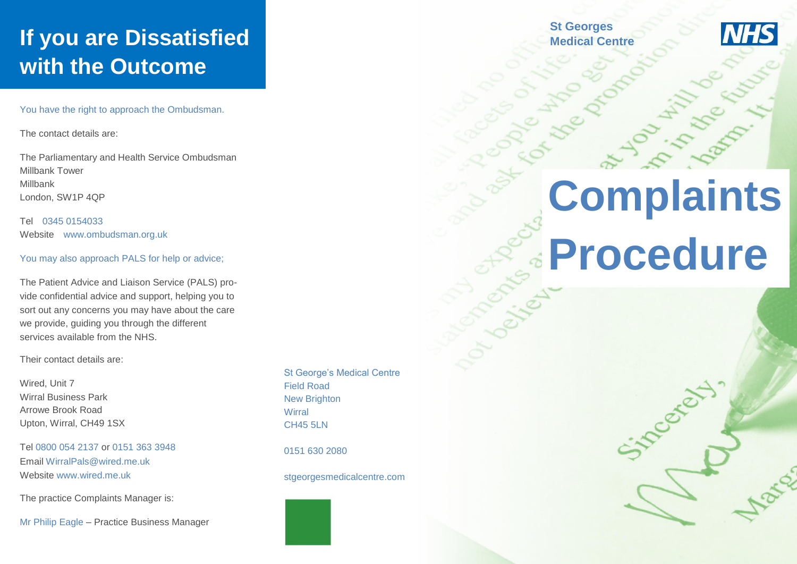## **If you are Dissatisfied with the Outcome**

You have the right to approach the Ombudsman.

The contact details are:

The Parliamentary and Health Service Ombudsman Millbank Tower Millbank London, SW1P 4QP

Tel 0345 0154033 Website www.ombudsman.org.uk

You may also approach PALS for help or advice;

The Patient Advice and Liaison Service (PALS) provide confidential advice and support, helping you to sort out any concerns you may have about the care we provide, guiding you through the different services available from the NHS.

Their contact details are:

Wired, Unit 7 Wirral Business Park Arrowe Brook Road Upton, Wirral, CH49 1SX

Tel 0800 054 2137 or 0151 363 3948 Email WirralPals@wired.me.uk Website www.wired.me.uk

The practice Complaints Manager is:

Mr Philip Eagle – Practice Business Manager

St George's Medical Centre Field Road New Brighton **Wirral** CH45 5LN

0151 630 2080

stgeorgesmedicalcentre.com

**St Georges Medical Centre**



# **Complaints Procedure**